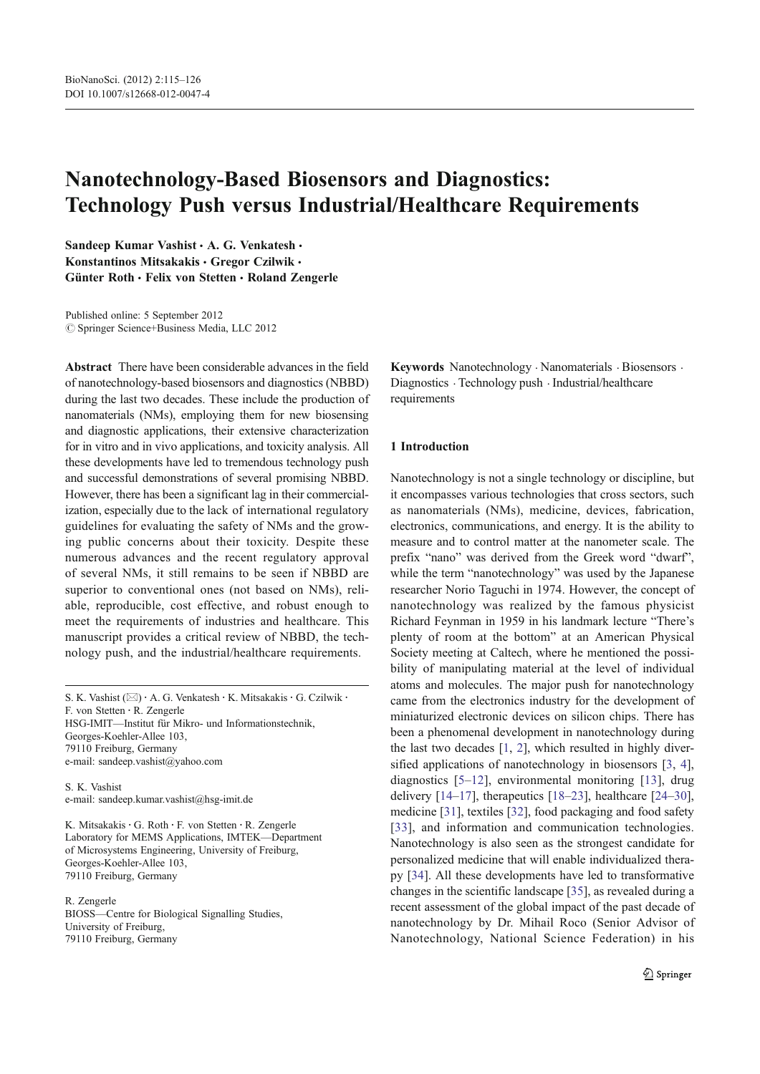# Nanotechnology-Based Biosensors and Diagnostics: Technology Push versus Industrial/Healthcare Requirements

Sandeep Kumar Vashist · A. G. Venkatesh · Konstantinos Mitsakakis · Gregor Czilwik · Günter Roth & Felix von Stetten & Roland Zengerle

Published online: 5 September 2012  $\oslash$  Springer Science+Business Media, LLC 2012

Abstract There have been considerable advances in the field of nanotechnology-based biosensors and diagnostics (NBBD) during the last two decades. These include the production of nanomaterials (NMs), employing them for new biosensing and diagnostic applications, their extensive characterization for in vitro and in vivo applications, and toxicity analysis. All these developments have led to tremendous technology push and successful demonstrations of several promising NBBD. However, there has been a significant lag in their commercialization, especially due to the lack of international regulatory guidelines for evaluating the safety of NMs and the growing public concerns about their toxicity. Despite these numerous advances and the recent regulatory approval of several NMs, it still remains to be seen if NBBD are superior to conventional ones (not based on NMs), reliable, reproducible, cost effective, and robust enough to meet the requirements of industries and healthcare. This manuscript provides a critical review of NBBD, the technology push, and the industrial/healthcare requirements.

S. K. Vashist ( $\boxtimes$ ) · A. G. Venkatesh · K. Mitsakakis · G. Czilwik · F. von Stetten : R. Zengerle HSG-IMIT—Institut für Mikro- und Informationstechnik, Georges-Koehler-Allee 103, 79110 Freiburg, Germany e-mail: sandeep.vashist@yahoo.com

S. K. Vashist e-mail: sandeep.kumar.vashist@hsg-imit.de

K. Mitsakakis: G. Roth : F. von Stetten : R. Zengerle Laboratory for MEMS Applications, IMTEK—Department of Microsystems Engineering, University of Freiburg, Georges-Koehler-Allee 103, 79110 Freiburg, Germany

R. Zengerle BIOSS—Centre for Biological Signalling Studies, University of Freiburg, 79110 Freiburg, Germany

Keywords Nanotechnology . Nanomaterials . Biosensors . Diagnostics . Technology push . Industrial/healthcare requirements

## 1 Introduction

Nanotechnology is not a single technology or discipline, but it encompasses various technologies that cross sectors, such as nanomaterials (NMs), medicine, devices, fabrication, electronics, communications, and energy. It is the ability to measure and to control matter at the nanometer scale. The prefix "nano" was derived from the Greek word "dwarf", while the term "nanotechnology" was used by the Japanese researcher Norio Taguchi in 1974. However, the concept of nanotechnology was realized by the famous physicist Richard Feynman in 1959 in his landmark lecture "There's plenty of room at the bottom" at an American Physical Society meeting at Caltech, where he mentioned the possibility of manipulating material at the level of individual atoms and molecules. The major push for nanotechnology came from the electronics industry for the development of miniaturized electronic devices on silicon chips. There has been a phenomenal development in nanotechnology during the last two decades [1, 2], which resulted in highly diversified applications of nanotechnology in biosensors [3, 4], diagnostics [5–12], environmental monitoring [13], drug delivery [14–17], therapeutics [18–23], healthcare [24–30], medicine [31], textiles [32], food packaging and food safety [33], and information and communication technologies. Nanotechnology is also seen as the strongest candidate for personalized medicine that will enable individualized therapy [34]. All these developments have led to transformative changes in the scientific landscape [35], as revealed during a recent assessment of the global impact of the past decade of nanotechnology by Dr. Mihail Roco (Senior Advisor of Nanotechnology, National Science Federation) in his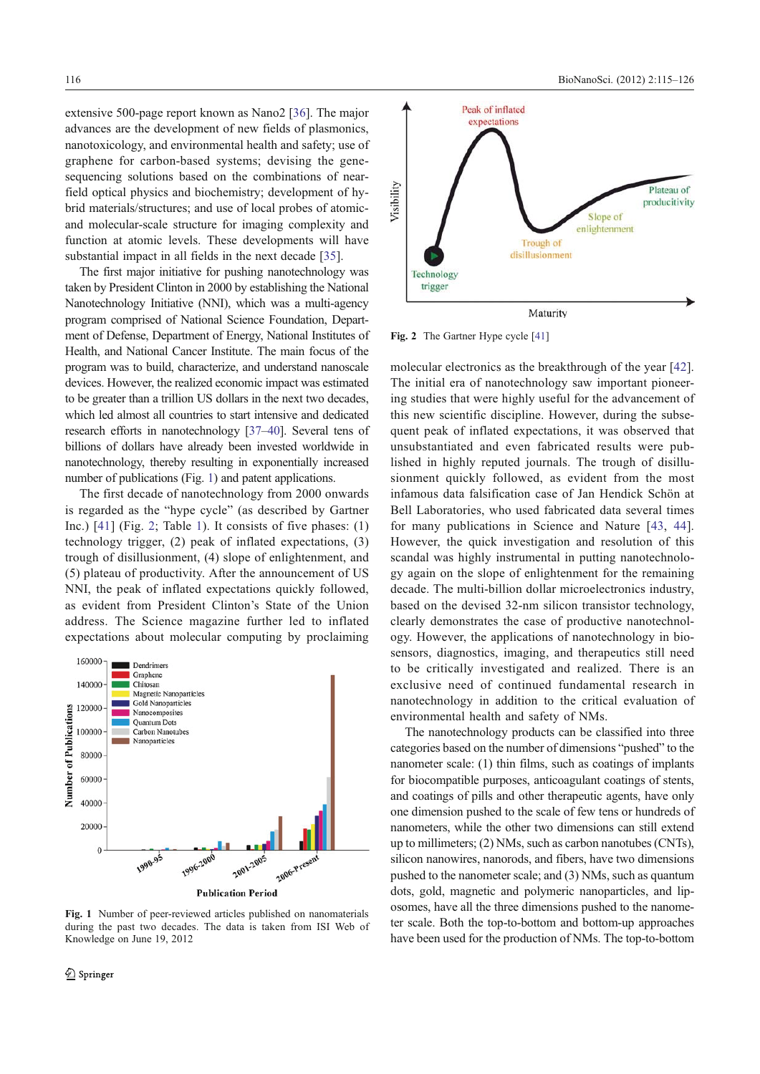extensive 500-page report known as Nano2 [36]. The major advances are the development of new fields of plasmonics, nanotoxicology, and environmental health and safety; use of graphene for carbon-based systems; devising the genesequencing solutions based on the combinations of nearfield optical physics and biochemistry; development of hybrid materials/structures; and use of local probes of atomicand molecular-scale structure for imaging complexity and function at atomic levels. These developments will have substantial impact in all fields in the next decade [35].

The first major initiative for pushing nanotechnology was taken by President Clinton in 2000 by establishing the National Nanotechnology Initiative (NNI), which was a multi-agency program comprised of National Science Foundation, Department of Defense, Department of Energy, National Institutes of Health, and National Cancer Institute. The main focus of the program was to build, characterize, and understand nanoscale devices. However, the realized economic impact was estimated to be greater than a trillion US dollars in the next two decades, which led almost all countries to start intensive and dedicated research efforts in nanotechnology [37–40]. Several tens of billions of dollars have already been invested worldwide in nanotechnology, thereby resulting in exponentially increased number of publications (Fig. 1) and patent applications.

The first decade of nanotechnology from 2000 onwards is regarded as the "hype cycle" (as described by Gartner Inc.)  $[41]$  (Fig. 2; Table 1). It consists of five phases:  $(1)$ technology trigger, (2) peak of inflated expectations, (3) trough of disillusionment, (4) slope of enlightenment, and (5) plateau of productivity. After the announcement of US NNI, the peak of inflated expectations quickly followed, as evident from President Clinton's State of the Union address. The Science magazine further led to inflated expectations about molecular computing by proclaiming



Fig. 1 Number of peer-reviewed articles published on nanomaterials during the past two decades. The data is taken from ISI Web of Knowledge on June 19, 2012





Fig. 2 The Gartner Hype cycle [41]

molecular electronics as the breakthrough of the year [42]. The initial era of nanotechnology saw important pioneering studies that were highly useful for the advancement of this new scientific discipline. However, during the subsequent peak of inflated expectations, it was observed that unsubstantiated and even fabricated results were published in highly reputed journals. The trough of disillusionment quickly followed, as evident from the most infamous data falsification case of Jan Hendick Schön at Bell Laboratories, who used fabricated data several times for many publications in Science and Nature [43, 44]. However, the quick investigation and resolution of this scandal was highly instrumental in putting nanotechnology again on the slope of enlightenment for the remaining decade. The multi-billion dollar microelectronics industry, based on the devised 32-nm silicon transistor technology, clearly demonstrates the case of productive nanotechnology. However, the applications of nanotechnology in biosensors, diagnostics, imaging, and therapeutics still need to be critically investigated and realized. There is an exclusive need of continued fundamental research in nanotechnology in addition to the critical evaluation of environmental health and safety of NMs.

The nanotechnology products can be classified into three categories based on the number of dimensions "pushed" to the nanometer scale: (1) thin films, such as coatings of implants for biocompatible purposes, anticoagulant coatings of stents, and coatings of pills and other therapeutic agents, have only one dimension pushed to the scale of few tens or hundreds of nanometers, while the other two dimensions can still extend up to millimeters; (2) NMs, such as carbon nanotubes (CNTs), silicon nanowires, nanorods, and fibers, have two dimensions pushed to the nanometer scale; and (3) NMs, such as quantum dots, gold, magnetic and polymeric nanoparticles, and liposomes, have all the three dimensions pushed to the nanometer scale. Both the top-to-bottom and bottom-up approaches have been used for the production of NMs. The top-to-bottom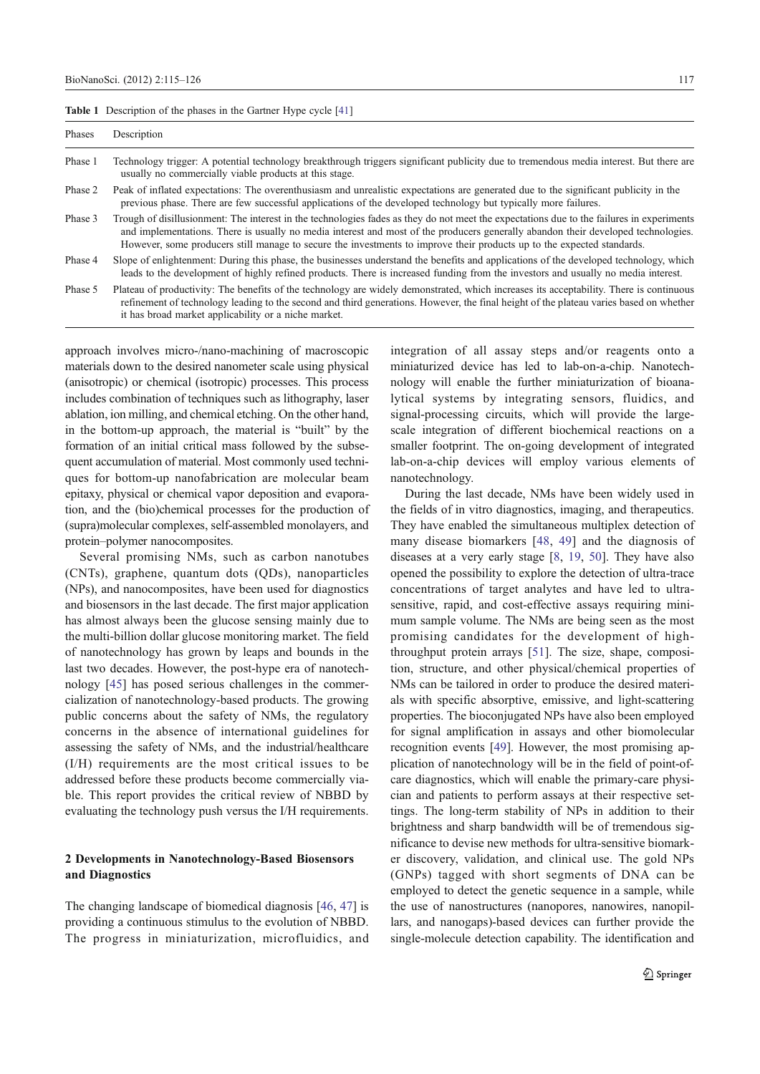#### Table 1 Description of the phases in the Gartner Hype cycle [41]

| Phases  | Description                                                                                                                                                                                                                                                                                                                                                                                              |
|---------|----------------------------------------------------------------------------------------------------------------------------------------------------------------------------------------------------------------------------------------------------------------------------------------------------------------------------------------------------------------------------------------------------------|
| Phase 1 | Technology trigger: A potential technology breakthrough triggers significant publicity due to tremendous media interest. But there are<br>usually no commercially viable products at this stage.                                                                                                                                                                                                         |
| Phase 2 | Peak of inflated expectations: The overenthusiasm and unrealistic expectations are generated due to the significant publicity in the<br>previous phase. There are few successful applications of the developed technology but typically more failures.                                                                                                                                                   |
| Phase 3 | Trough of disillusionment: The interest in the technologies fades as they do not meet the expectations due to the failures in experiments<br>and implementations. There is usually no media interest and most of the producers generally abandon their developed technologies.<br>However, some producers still manage to secure the investments to improve their products up to the expected standards. |
| Phase 4 | Slope of enlightenment: During this phase, the businesses understand the benefits and applications of the developed technology, which<br>leads to the development of highly refined products. There is increased funding from the investors and usually no media interest.                                                                                                                               |
| Phase 5 | Plateau of productivity: The benefits of the technology are widely demonstrated, which increases its acceptability. There is continuous<br>refinement of technology leading to the second and third generations. However, the final height of the plateau varies based on whether<br>it has broad market applicability or a niche market.                                                                |

approach involves micro-/nano-machining of macroscopic materials down to the desired nanometer scale using physical (anisotropic) or chemical (isotropic) processes. This process includes combination of techniques such as lithography, laser ablation, ion milling, and chemical etching. On the other hand, in the bottom-up approach, the material is "built" by the formation of an initial critical mass followed by the subsequent accumulation of material. Most commonly used techniques for bottom-up nanofabrication are molecular beam epitaxy, physical or chemical vapor deposition and evaporation, and the (bio)chemical processes for the production of (supra)molecular complexes, self-assembled monolayers, and protein–polymer nanocomposites.

Several promising NMs, such as carbon nanotubes (CNTs), graphene, quantum dots (QDs), nanoparticles (NPs), and nanocomposites, have been used for diagnostics and biosensors in the last decade. The first major application has almost always been the glucose sensing mainly due to the multi-billion dollar glucose monitoring market. The field of nanotechnology has grown by leaps and bounds in the last two decades. However, the post-hype era of nanotechnology [45] has posed serious challenges in the commercialization of nanotechnology-based products. The growing public concerns about the safety of NMs, the regulatory concerns in the absence of international guidelines for assessing the safety of NMs, and the industrial/healthcare (I/H) requirements are the most critical issues to be addressed before these products become commercially viable. This report provides the critical review of NBBD by evaluating the technology push versus the I/H requirements.

# 2 Developments in Nanotechnology-Based Biosensors and Diagnostics

The changing landscape of biomedical diagnosis [46, 47] is providing a continuous stimulus to the evolution of NBBD. The progress in miniaturization, microfluidics, and integration of all assay steps and/or reagents onto a miniaturized device has led to lab-on-a-chip. Nanotechnology will enable the further miniaturization of bioanalytical systems by integrating sensors, fluidics, and signal-processing circuits, which will provide the largescale integration of different biochemical reactions on a smaller footprint. The on-going development of integrated lab-on-a-chip devices will employ various elements of nanotechnology.

During the last decade, NMs have been widely used in the fields of in vitro diagnostics, imaging, and therapeutics. They have enabled the simultaneous multiplex detection of many disease biomarkers [48, 49] and the diagnosis of diseases at a very early stage [8, 19, 50]. They have also opened the possibility to explore the detection of ultra-trace concentrations of target analytes and have led to ultrasensitive, rapid, and cost-effective assays requiring minimum sample volume. The NMs are being seen as the most promising candidates for the development of highthroughput protein arrays [51]. The size, shape, composition, structure, and other physical/chemical properties of NMs can be tailored in order to produce the desired materials with specific absorptive, emissive, and light-scattering properties. The bioconjugated NPs have also been employed for signal amplification in assays and other biomolecular recognition events [49]. However, the most promising application of nanotechnology will be in the field of point-ofcare diagnostics, which will enable the primary-care physician and patients to perform assays at their respective settings. The long-term stability of NPs in addition to their brightness and sharp bandwidth will be of tremendous significance to devise new methods for ultra-sensitive biomarker discovery, validation, and clinical use. The gold NPs (GNPs) tagged with short segments of DNA can be employed to detect the genetic sequence in a sample, while the use of nanostructures (nanopores, nanowires, nanopillars, and nanogaps)-based devices can further provide the single-molecule detection capability. The identification and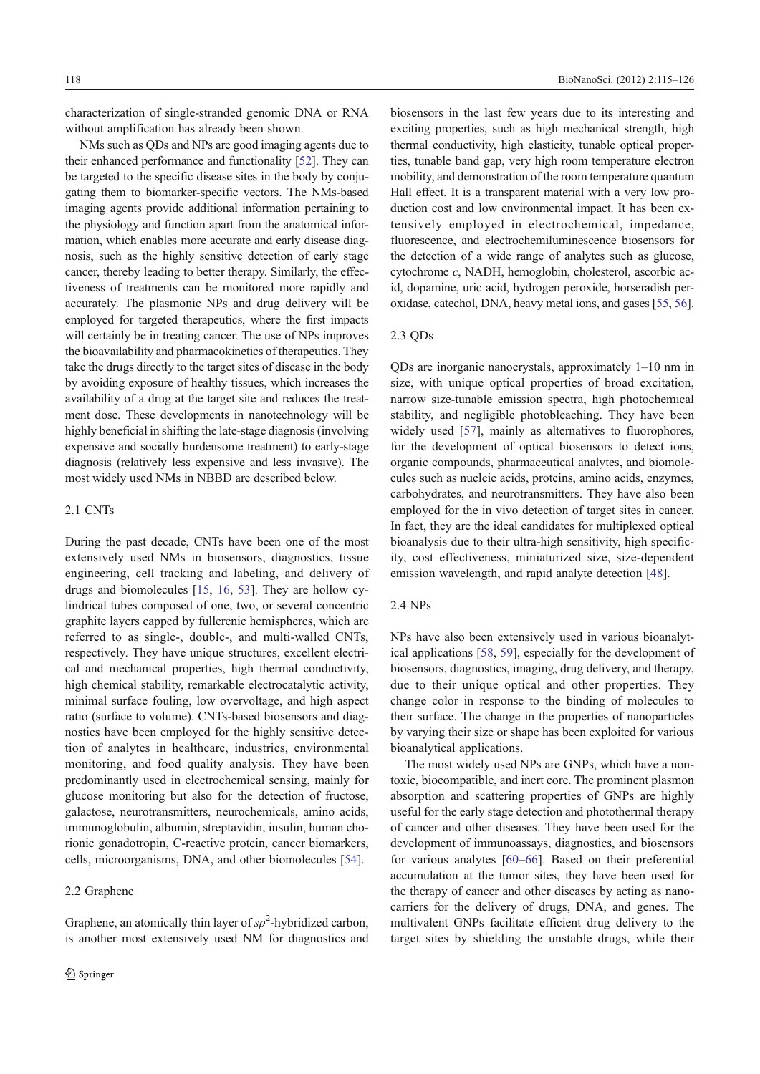characterization of single-stranded genomic DNA or RNA without amplification has already been shown.

NMs such as QDs and NPs are good imaging agents due to their enhanced performance and functionality [52]. They can be targeted to the specific disease sites in the body by conjugating them to biomarker-specific vectors. The NMs-based imaging agents provide additional information pertaining to the physiology and function apart from the anatomical information, which enables more accurate and early disease diagnosis, such as the highly sensitive detection of early stage cancer, thereby leading to better therapy. Similarly, the effectiveness of treatments can be monitored more rapidly and accurately. The plasmonic NPs and drug delivery will be employed for targeted therapeutics, where the first impacts will certainly be in treating cancer. The use of NPs improves the bioavailability and pharmacokinetics of therapeutics. They take the drugs directly to the target sites of disease in the body by avoiding exposure of healthy tissues, which increases the availability of a drug at the target site and reduces the treatment dose. These developments in nanotechnology will be highly beneficial in shifting the late-stage diagnosis (involving expensive and socially burdensome treatment) to early-stage diagnosis (relatively less expensive and less invasive). The most widely used NMs in NBBD are described below.

# 2.1 CNTs

During the past decade, CNTs have been one of the most extensively used NMs in biosensors, diagnostics, tissue engineering, cell tracking and labeling, and delivery of drugs and biomolecules [15, 16, 53]. They are hollow cylindrical tubes composed of one, two, or several concentric graphite layers capped by fullerenic hemispheres, which are referred to as single-, double-, and multi-walled CNTs, respectively. They have unique structures, excellent electrical and mechanical properties, high thermal conductivity, high chemical stability, remarkable electrocatalytic activity, minimal surface fouling, low overvoltage, and high aspect ratio (surface to volume). CNTs-based biosensors and diagnostics have been employed for the highly sensitive detection of analytes in healthcare, industries, environmental monitoring, and food quality analysis. They have been predominantly used in electrochemical sensing, mainly for glucose monitoring but also for the detection of fructose, galactose, neurotransmitters, neurochemicals, amino acids, immunoglobulin, albumin, streptavidin, insulin, human chorionic gonadotropin, C-reactive protein, cancer biomarkers, cells, microorganisms, DNA, and other biomolecules [54].

#### 2.2 Graphene

Graphene, an atomically thin layer of  $sp^2$ -hybridized carbon, is another most extensively used NM for diagnostics and biosensors in the last few years due to its interesting and exciting properties, such as high mechanical strength, high thermal conductivity, high elasticity, tunable optical properties, tunable band gap, very high room temperature electron mobility, and demonstration of the room temperature quantum Hall effect. It is a transparent material with a very low production cost and low environmental impact. It has been extensively employed in electrochemical, impedance, fluorescence, and electrochemiluminescence biosensors for the detection of a wide range of analytes such as glucose, cytochrome c, NADH, hemoglobin, cholesterol, ascorbic acid, dopamine, uric acid, hydrogen peroxide, horseradish peroxidase, catechol, DNA, heavy metal ions, and gases [55, 56].

# 2.3 QDs

QDs are inorganic nanocrystals, approximately 1–10 nm in size, with unique optical properties of broad excitation, narrow size-tunable emission spectra, high photochemical stability, and negligible photobleaching. They have been widely used [57], mainly as alternatives to fluorophores, for the development of optical biosensors to detect ions, organic compounds, pharmaceutical analytes, and biomolecules such as nucleic acids, proteins, amino acids, enzymes, carbohydrates, and neurotransmitters. They have also been employed for the in vivo detection of target sites in cancer. In fact, they are the ideal candidates for multiplexed optical bioanalysis due to their ultra-high sensitivity, high specificity, cost effectiveness, miniaturized size, size-dependent emission wavelength, and rapid analyte detection [48].

## 2.4 NPs

NPs have also been extensively used in various bioanalytical applications [58, 59], especially for the development of biosensors, diagnostics, imaging, drug delivery, and therapy, due to their unique optical and other properties. They change color in response to the binding of molecules to their surface. The change in the properties of nanoparticles by varying their size or shape has been exploited for various bioanalytical applications.

The most widely used NPs are GNPs, which have a nontoxic, biocompatible, and inert core. The prominent plasmon absorption and scattering properties of GNPs are highly useful for the early stage detection and photothermal therapy of cancer and other diseases. They have been used for the development of immunoassays, diagnostics, and biosensors for various analytes [60–66]. Based on their preferential accumulation at the tumor sites, they have been used for the therapy of cancer and other diseases by acting as nanocarriers for the delivery of drugs, DNA, and genes. The multivalent GNPs facilitate efficient drug delivery to the target sites by shielding the unstable drugs, while their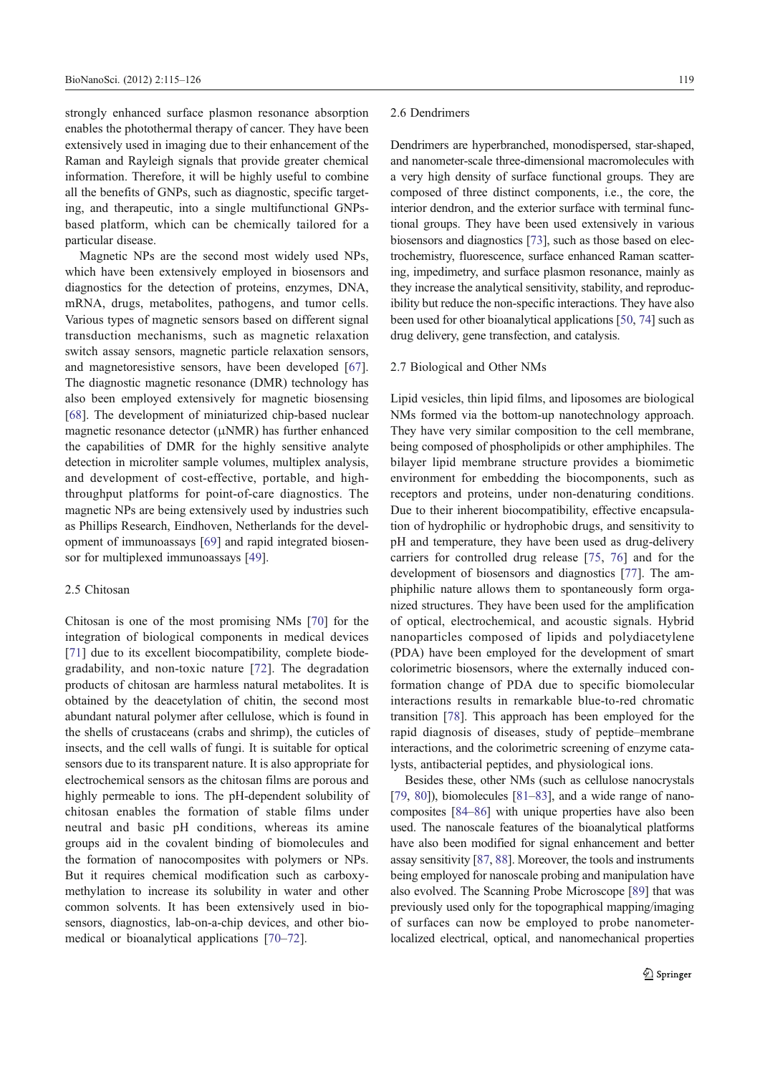strongly enhanced surface plasmon resonance absorption enables the photothermal therapy of cancer. They have been extensively used in imaging due to their enhancement of the Raman and Rayleigh signals that provide greater chemical information. Therefore, it will be highly useful to combine all the benefits of GNPs, such as diagnostic, specific targeting, and therapeutic, into a single multifunctional GNPsbased platform, which can be chemically tailored for a particular disease.

Magnetic NPs are the second most widely used NPs, which have been extensively employed in biosensors and diagnostics for the detection of proteins, enzymes, DNA, mRNA, drugs, metabolites, pathogens, and tumor cells. Various types of magnetic sensors based on different signal transduction mechanisms, such as magnetic relaxation switch assay sensors, magnetic particle relaxation sensors, and magnetoresistive sensors, have been developed [67]. The diagnostic magnetic resonance (DMR) technology has also been employed extensively for magnetic biosensing [68]. The development of miniaturized chip-based nuclear magnetic resonance detector (μNMR) has further enhanced the capabilities of DMR for the highly sensitive analyte detection in microliter sample volumes, multiplex analysis, and development of cost-effective, portable, and highthroughput platforms for point-of-care diagnostics. The magnetic NPs are being extensively used by industries such as Phillips Research, Eindhoven, Netherlands for the development of immunoassays [69] and rapid integrated biosensor for multiplexed immunoassays [49].

#### 2.5 Chitosan

Chitosan is one of the most promising NMs [70] for the integration of biological components in medical devices [71] due to its excellent biocompatibility, complete biodegradability, and non-toxic nature [72]. The degradation products of chitosan are harmless natural metabolites. It is obtained by the deacetylation of chitin, the second most abundant natural polymer after cellulose, which is found in the shells of crustaceans (crabs and shrimp), the cuticles of insects, and the cell walls of fungi. It is suitable for optical sensors due to its transparent nature. It is also appropriate for electrochemical sensors as the chitosan films are porous and highly permeable to ions. The pH-dependent solubility of chitosan enables the formation of stable films under neutral and basic pH conditions, whereas its amine groups aid in the covalent binding of biomolecules and the formation of nanocomposites with polymers or NPs. But it requires chemical modification such as carboxymethylation to increase its solubility in water and other common solvents. It has been extensively used in biosensors, diagnostics, lab-on-a-chip devices, and other biomedical or bioanalytical applications [70–72].

#### 2.6 Dendrimers

Dendrimers are hyperbranched, monodispersed, star-shaped, and nanometer-scale three-dimensional macromolecules with a very high density of surface functional groups. They are composed of three distinct components, i.e., the core, the interior dendron, and the exterior surface with terminal functional groups. They have been used extensively in various biosensors and diagnostics [73], such as those based on electrochemistry, fluorescence, surface enhanced Raman scattering, impedimetry, and surface plasmon resonance, mainly as they increase the analytical sensitivity, stability, and reproducibility but reduce the non-specific interactions. They have also been used for other bioanalytical applications [50, 74] such as drug delivery, gene transfection, and catalysis.

#### 2.7 Biological and Other NMs

Lipid vesicles, thin lipid films, and liposomes are biological NMs formed via the bottom-up nanotechnology approach. They have very similar composition to the cell membrane, being composed of phospholipids or other amphiphiles. The bilayer lipid membrane structure provides a biomimetic environment for embedding the biocomponents, such as receptors and proteins, under non-denaturing conditions. Due to their inherent biocompatibility, effective encapsulation of hydrophilic or hydrophobic drugs, and sensitivity to pH and temperature, they have been used as drug-delivery carriers for controlled drug release [75, 76] and for the development of biosensors and diagnostics [77]. The amphiphilic nature allows them to spontaneously form organized structures. They have been used for the amplification of optical, electrochemical, and acoustic signals. Hybrid nanoparticles composed of lipids and polydiacetylene (PDA) have been employed for the development of smart colorimetric biosensors, where the externally induced conformation change of PDA due to specific biomolecular interactions results in remarkable blue-to-red chromatic transition [78]. This approach has been employed for the rapid diagnosis of diseases, study of peptide–membrane interactions, and the colorimetric screening of enzyme catalysts, antibacterial peptides, and physiological ions.

Besides these, other NMs (such as cellulose nanocrystals [79, 80]), biomolecules [81–83], and a wide range of nanocomposites [84–86] with unique properties have also been used. The nanoscale features of the bioanalytical platforms have also been modified for signal enhancement and better assay sensitivity [87, 88]. Moreover, the tools and instruments being employed for nanoscale probing and manipulation have also evolved. The Scanning Probe Microscope [89] that was previously used only for the topographical mapping/imaging of surfaces can now be employed to probe nanometerlocalized electrical, optical, and nanomechanical properties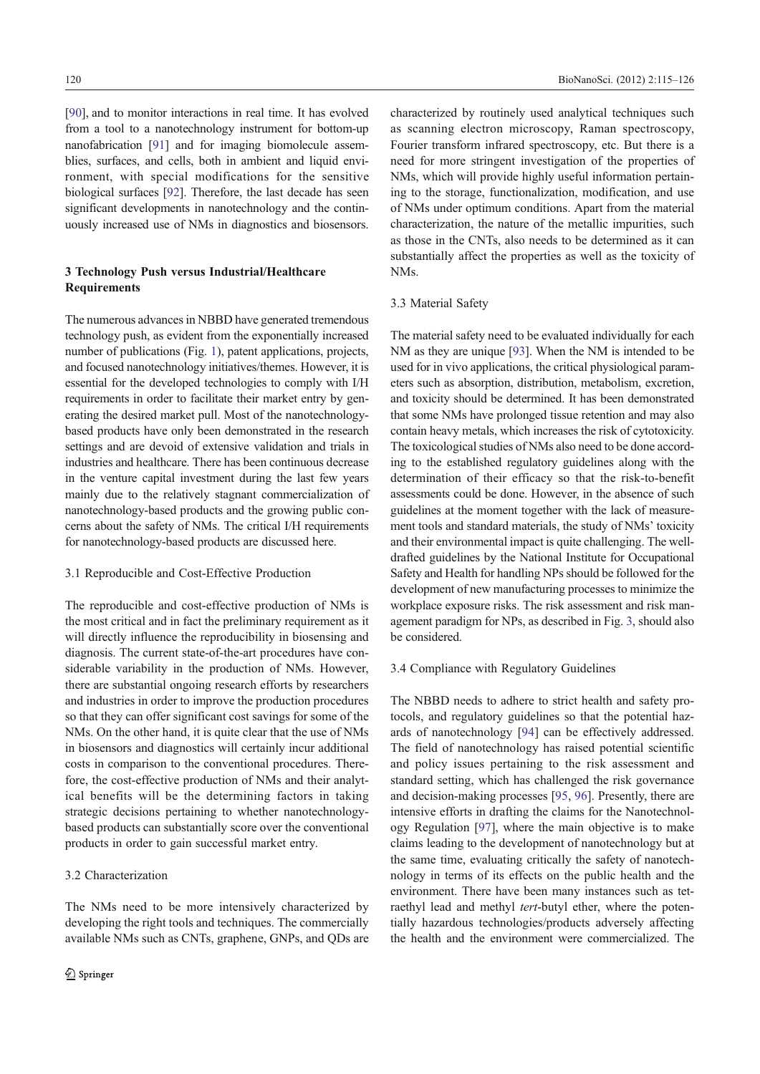[90], and to monitor interactions in real time. It has evolved from a tool to a nanotechnology instrument for bottom-up nanofabrication [91] and for imaging biomolecule assemblies, surfaces, and cells, both in ambient and liquid environment, with special modifications for the sensitive biological surfaces [92]. Therefore, the last decade has seen significant developments in nanotechnology and the continuously increased use of NMs in diagnostics and biosensors.

# 3 Technology Push versus Industrial/Healthcare **Requirements**

The numerous advances in NBBD have generated tremendous technology push, as evident from the exponentially increased number of publications (Fig. 1), patent applications, projects, and focused nanotechnology initiatives/themes. However, it is essential for the developed technologies to comply with I/H requirements in order to facilitate their market entry by generating the desired market pull. Most of the nanotechnologybased products have only been demonstrated in the research settings and are devoid of extensive validation and trials in industries and healthcare. There has been continuous decrease in the venture capital investment during the last few years mainly due to the relatively stagnant commercialization of nanotechnology-based products and the growing public concerns about the safety of NMs. The critical I/H requirements for nanotechnology-based products are discussed here.

### 3.1 Reproducible and Cost-Effective Production

The reproducible and cost-effective production of NMs is the most critical and in fact the preliminary requirement as it will directly influence the reproducibility in biosensing and diagnosis. The current state-of-the-art procedures have considerable variability in the production of NMs. However, there are substantial ongoing research efforts by researchers and industries in order to improve the production procedures so that they can offer significant cost savings for some of the NMs. On the other hand, it is quite clear that the use of NMs in biosensors and diagnostics will certainly incur additional costs in comparison to the conventional procedures. Therefore, the cost-effective production of NMs and their analytical benefits will be the determining factors in taking strategic decisions pertaining to whether nanotechnologybased products can substantially score over the conventional products in order to gain successful market entry.

# 3.2 Characterization

The NMs need to be more intensively characterized by developing the right tools and techniques. The commercially available NMs such as CNTs, graphene, GNPs, and QDs are characterized by routinely used analytical techniques such as scanning electron microscopy, Raman spectroscopy, Fourier transform infrared spectroscopy, etc. But there is a need for more stringent investigation of the properties of NMs, which will provide highly useful information pertaining to the storage, functionalization, modification, and use of NMs under optimum conditions. Apart from the material characterization, the nature of the metallic impurities, such as those in the CNTs, also needs to be determined as it can substantially affect the properties as well as the toxicity of NMs.

## 3.3 Material Safety

The material safety need to be evaluated individually for each NM as they are unique [93]. When the NM is intended to be used for in vivo applications, the critical physiological parameters such as absorption, distribution, metabolism, excretion, and toxicity should be determined. It has been demonstrated that some NMs have prolonged tissue retention and may also contain heavy metals, which increases the risk of cytotoxicity. The toxicological studies of NMs also need to be done according to the established regulatory guidelines along with the determination of their efficacy so that the risk-to-benefit assessments could be done. However, in the absence of such guidelines at the moment together with the lack of measurement tools and standard materials, the study of NMs' toxicity and their environmental impact is quite challenging. The welldrafted guidelines by the National Institute for Occupational Safety and Health for handling NPs should be followed for the development of new manufacturing processes to minimize the workplace exposure risks. The risk assessment and risk management paradigm for NPs, as described in Fig. 3, should also be considered.

## 3.4 Compliance with Regulatory Guidelines

The NBBD needs to adhere to strict health and safety protocols, and regulatory guidelines so that the potential hazards of nanotechnology [94] can be effectively addressed. The field of nanotechnology has raised potential scientific and policy issues pertaining to the risk assessment and standard setting, which has challenged the risk governance and decision-making processes [95, 96]. Presently, there are intensive efforts in drafting the claims for the Nanotechnology Regulation [97], where the main objective is to make claims leading to the development of nanotechnology but at the same time, evaluating critically the safety of nanotechnology in terms of its effects on the public health and the environment. There have been many instances such as tetraethyl lead and methyl tert-butyl ether, where the potentially hazardous technologies/products adversely affecting the health and the environment were commercialized. The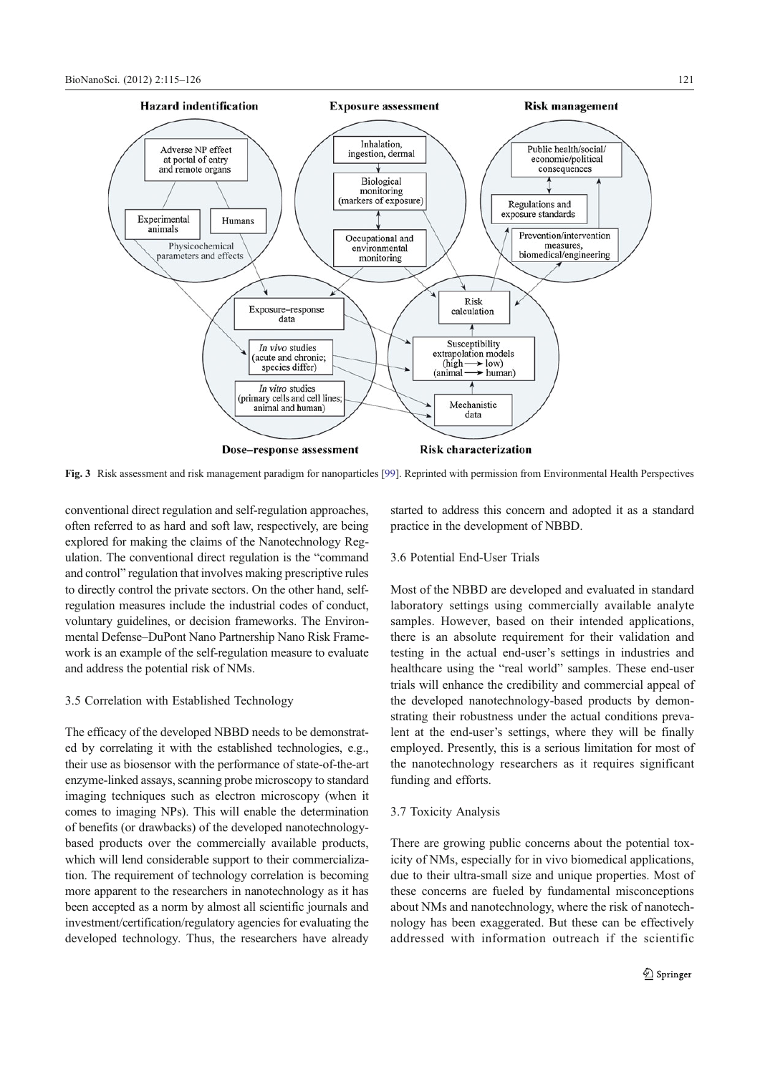

Fig. 3 Risk assessment and risk management paradigm for nanoparticles [99]. Reprinted with permission from Environmental Health Perspectives

conventional direct regulation and self-regulation approaches, often referred to as hard and soft law, respectively, are being explored for making the claims of the Nanotechnology Regulation. The conventional direct regulation is the "command and control" regulation that involves making prescriptive rules to directly control the private sectors. On the other hand, selfregulation measures include the industrial codes of conduct, voluntary guidelines, or decision frameworks. The Environmental Defense–DuPont Nano Partnership Nano Risk Framework is an example of the self-regulation measure to evaluate and address the potential risk of NMs.

#### 3.5 Correlation with Established Technology

The efficacy of the developed NBBD needs to be demonstrated by correlating it with the established technologies, e.g., their use as biosensor with the performance of state-of-the-art enzyme-linked assays, scanning probe microscopy to standard imaging techniques such as electron microscopy (when it comes to imaging NPs). This will enable the determination of benefits (or drawbacks) of the developed nanotechnologybased products over the commercially available products, which will lend considerable support to their commercialization. The requirement of technology correlation is becoming more apparent to the researchers in nanotechnology as it has been accepted as a norm by almost all scientific journals and investment/certification/regulatory agencies for evaluating the developed technology. Thus, the researchers have already

started to address this concern and adopted it as a standard practice in the development of NBBD.

### 3.6 Potential End-User Trials

Most of the NBBD are developed and evaluated in standard laboratory settings using commercially available analyte samples. However, based on their intended applications, there is an absolute requirement for their validation and testing in the actual end-user's settings in industries and healthcare using the "real world" samples. These end-user trials will enhance the credibility and commercial appeal of the developed nanotechnology-based products by demonstrating their robustness under the actual conditions prevalent at the end-user's settings, where they will be finally employed. Presently, this is a serious limitation for most of the nanotechnology researchers as it requires significant funding and efforts.

#### 3.7 Toxicity Analysis

There are growing public concerns about the potential toxicity of NMs, especially for in vivo biomedical applications, due to their ultra-small size and unique properties. Most of these concerns are fueled by fundamental misconceptions about NMs and nanotechnology, where the risk of nanotechnology has been exaggerated. But these can be effectively addressed with information outreach if the scientific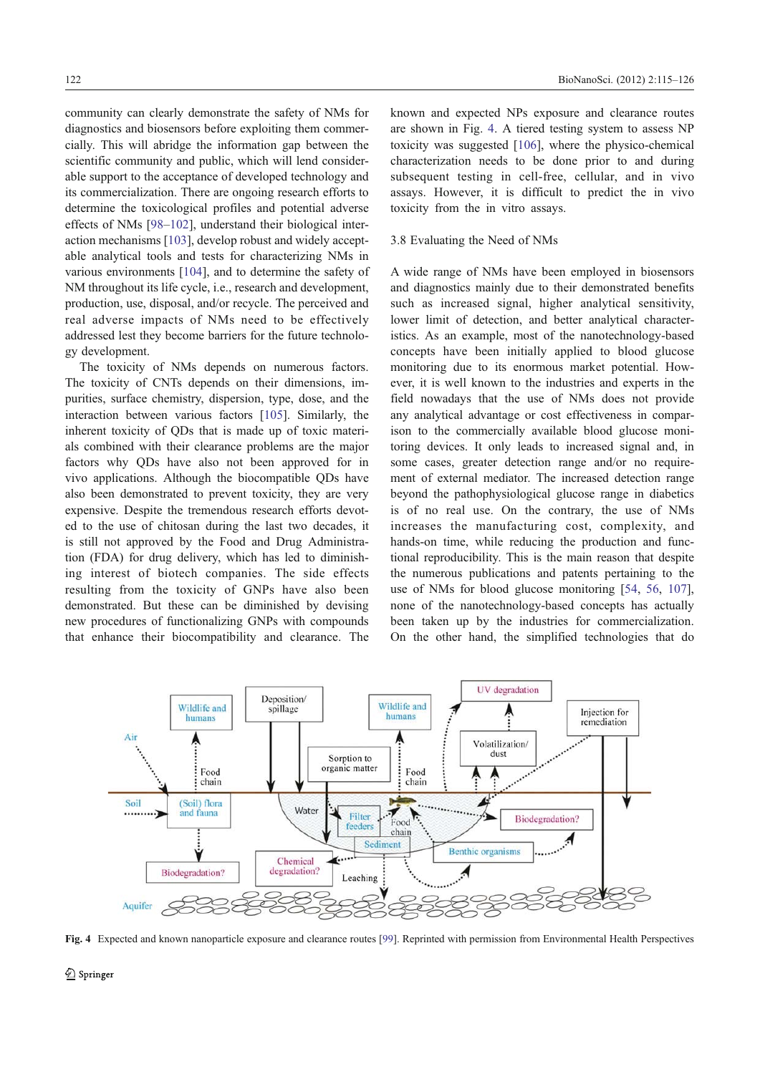community can clearly demonstrate the safety of NMs for diagnostics and biosensors before exploiting them commercially. This will abridge the information gap between the scientific community and public, which will lend considerable support to the acceptance of developed technology and its commercialization. There are ongoing research efforts to determine the toxicological profiles and potential adverse effects of NMs [98–102], understand their biological interaction mechanisms [103], develop robust and widely acceptable analytical tools and tests for characterizing NMs in various environments [104], and to determine the safety of NM throughout its life cycle, i.e., research and development, production, use, disposal, and/or recycle. The perceived and real adverse impacts of NMs need to be effectively addressed lest they become barriers for the future technology development.

The toxicity of NMs depends on numerous factors. The toxicity of CNTs depends on their dimensions, impurities, surface chemistry, dispersion, type, dose, and the interaction between various factors [105]. Similarly, the inherent toxicity of QDs that is made up of toxic materials combined with their clearance problems are the major factors why QDs have also not been approved for in vivo applications. Although the biocompatible QDs have also been demonstrated to prevent toxicity, they are very expensive. Despite the tremendous research efforts devoted to the use of chitosan during the last two decades, it is still not approved by the Food and Drug Administration (FDA) for drug delivery, which has led to diminishing interest of biotech companies. The side effects resulting from the toxicity of GNPs have also been demonstrated. But these can be diminished by devising new procedures of functionalizing GNPs with compounds that enhance their biocompatibility and clearance. The known and expected NPs exposure and clearance routes are shown in Fig. 4. A tiered testing system to assess NP toxicity was suggested [106], where the physico-chemical characterization needs to be done prior to and during subsequent testing in cell-free, cellular, and in vivo assays. However, it is difficult to predict the in vivo toxicity from the in vitro assays.

## 3.8 Evaluating the Need of NMs

A wide range of NMs have been employed in biosensors and diagnostics mainly due to their demonstrated benefits such as increased signal, higher analytical sensitivity, lower limit of detection, and better analytical characteristics. As an example, most of the nanotechnology-based concepts have been initially applied to blood glucose monitoring due to its enormous market potential. However, it is well known to the industries and experts in the field nowadays that the use of NMs does not provide any analytical advantage or cost effectiveness in comparison to the commercially available blood glucose monitoring devices. It only leads to increased signal and, in some cases, greater detection range and/or no requirement of external mediator. The increased detection range beyond the pathophysiological glucose range in diabetics is of no real use. On the contrary, the use of NMs increases the manufacturing cost, complexity, and hands-on time, while reducing the production and functional reproducibility. This is the main reason that despite the numerous publications and patents pertaining to the use of NMs for blood glucose monitoring [54, 56, 107], none of the nanotechnology-based concepts has actually been taken up by the industries for commercialization. On the other hand, the simplified technologies that do



Fig. 4 Expected and known nanoparticle exposure and clearance routes [99]. Reprinted with permission from Environmental Health Perspectives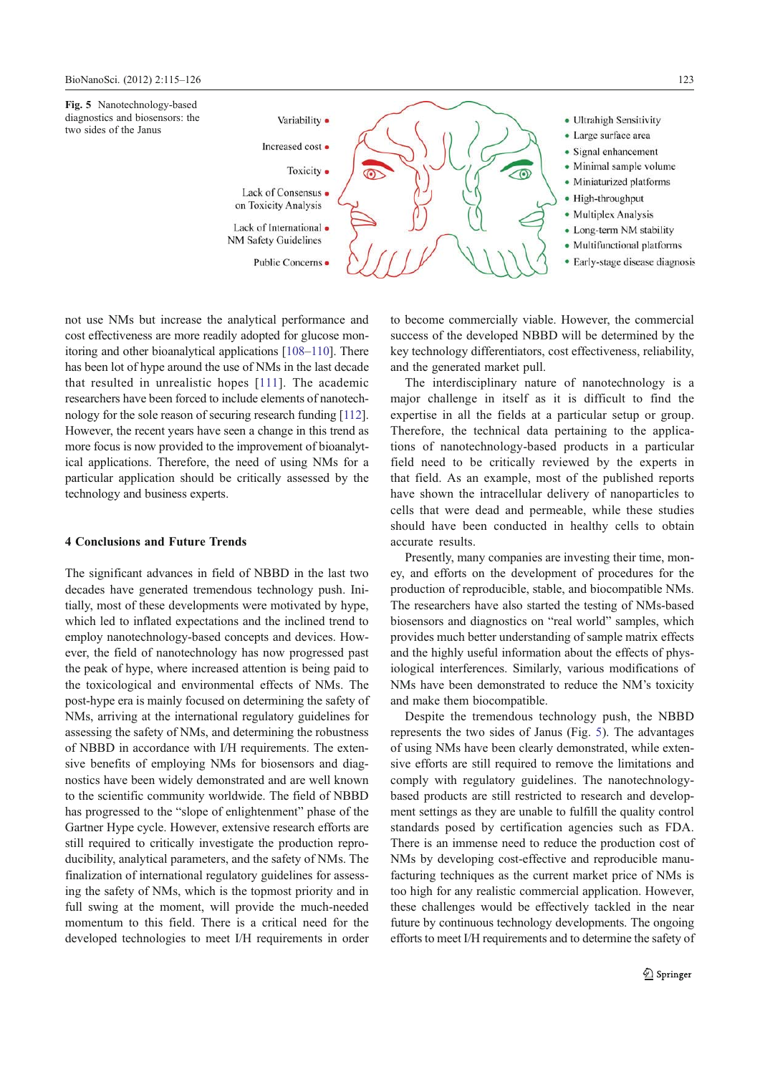Fig. 5 Nanotechnology-based diagnostics and biosensors: the two sides of the Janus



not use NMs but increase the analytical performance and cost effectiveness are more readily adopted for glucose monitoring and other bioanalytical applications [108–110]. There has been lot of hype around the use of NMs in the last decade that resulted in unrealistic hopes [111]. The academic researchers have been forced to include elements of nanotechnology for the sole reason of securing research funding [112]. However, the recent years have seen a change in this trend as more focus is now provided to the improvement of bioanalytical applications. Therefore, the need of using NMs for a particular application should be critically assessed by the technology and business experts.

# 4 Conclusions and Future Trends

The significant advances in field of NBBD in the last two decades have generated tremendous technology push. Initially, most of these developments were motivated by hype, which led to inflated expectations and the inclined trend to employ nanotechnology-based concepts and devices. However, the field of nanotechnology has now progressed past the peak of hype, where increased attention is being paid to the toxicological and environmental effects of NMs. The post-hype era is mainly focused on determining the safety of NMs, arriving at the international regulatory guidelines for assessing the safety of NMs, and determining the robustness of NBBD in accordance with I/H requirements. The extensive benefits of employing NMs for biosensors and diagnostics have been widely demonstrated and are well known to the scientific community worldwide. The field of NBBD has progressed to the "slope of enlightenment" phase of the Gartner Hype cycle. However, extensive research efforts are still required to critically investigate the production reproducibility, analytical parameters, and the safety of NMs. The finalization of international regulatory guidelines for assessing the safety of NMs, which is the topmost priority and in full swing at the moment, will provide the much-needed momentum to this field. There is a critical need for the developed technologies to meet I/H requirements in order to become commercially viable. However, the commercial success of the developed NBBD will be determined by the key technology differentiators, cost effectiveness, reliability, and the generated market pull.

The interdisciplinary nature of nanotechnology is a major challenge in itself as it is difficult to find the expertise in all the fields at a particular setup or group. Therefore, the technical data pertaining to the applications of nanotechnology-based products in a particular field need to be critically reviewed by the experts in that field. As an example, most of the published reports have shown the intracellular delivery of nanoparticles to cells that were dead and permeable, while these studies should have been conducted in healthy cells to obtain accurate results.

Presently, many companies are investing their time, money, and efforts on the development of procedures for the production of reproducible, stable, and biocompatible NMs. The researchers have also started the testing of NMs-based biosensors and diagnostics on "real world" samples, which provides much better understanding of sample matrix effects and the highly useful information about the effects of physiological interferences. Similarly, various modifications of NMs have been demonstrated to reduce the NM's toxicity and make them biocompatible.

Despite the tremendous technology push, the NBBD represents the two sides of Janus (Fig. 5). The advantages of using NMs have been clearly demonstrated, while extensive efforts are still required to remove the limitations and comply with regulatory guidelines. The nanotechnologybased products are still restricted to research and development settings as they are unable to fulfill the quality control standards posed by certification agencies such as FDA. There is an immense need to reduce the production cost of NMs by developing cost-effective and reproducible manufacturing techniques as the current market price of NMs is too high for any realistic commercial application. However, these challenges would be effectively tackled in the near future by continuous technology developments. The ongoing efforts to meet I/H requirements and to determine the safety of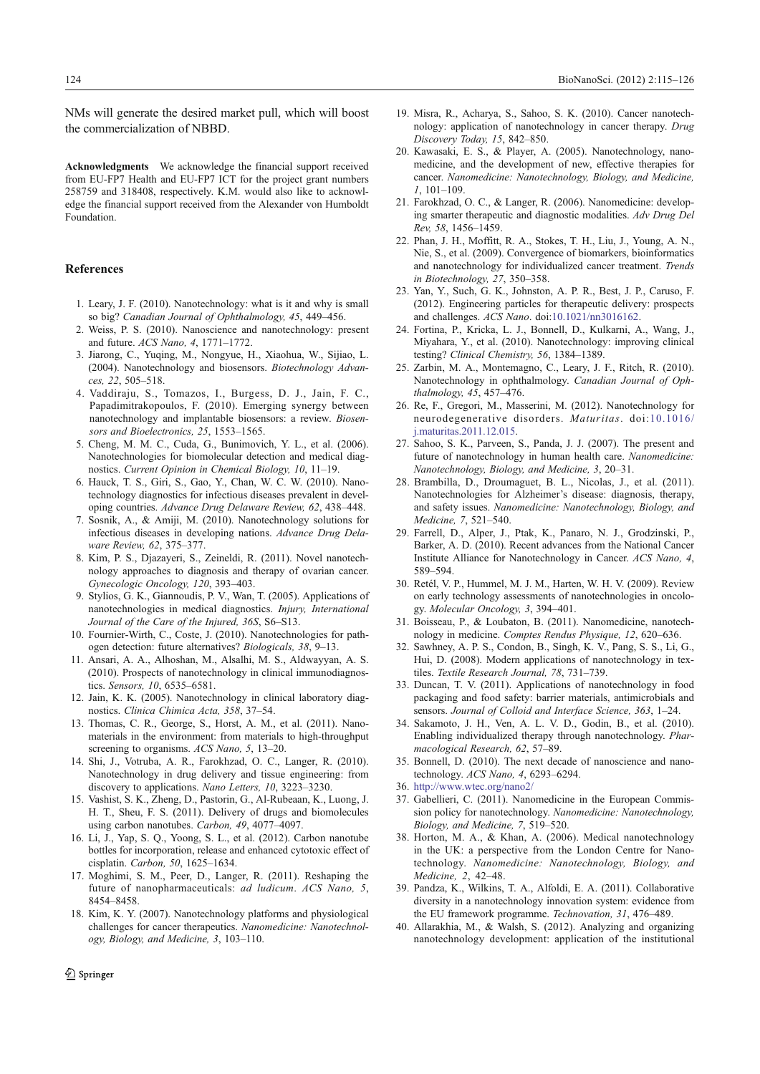NMs will generate the desired market pull, which will boost the commercialization of NBBD.

Acknowledgments We acknowledge the financial support received from EU-FP7 Health and EU-FP7 ICT for the project grant numbers 258759 and 318408, respectively. K.M. would also like to acknowledge the financial support received from the Alexander von Humboldt Foundation.

#### References

- 1. Leary, J. F. (2010). Nanotechnology: what is it and why is small so big? Canadian Journal of Ophthalmology, 45, 449–456.
- 2. Weiss, P. S. (2010). Nanoscience and nanotechnology: present and future. ACS Nano, 4, 1771–1772.
- 3. Jiarong, C., Yuqing, M., Nongyue, H., Xiaohua, W., Sijiao, L. (2004). Nanotechnology and biosensors. Biotechnology Advances, 22, 505–518.
- 4. Vaddiraju, S., Tomazos, I., Burgess, D. J., Jain, F. C., Papadimitrakopoulos, F. (2010). Emerging synergy between nanotechnology and implantable biosensors: a review. Biosensors and Bioelectronics, 25, 1553–1565.
- 5. Cheng, M. M. C., Cuda, G., Bunimovich, Y. L., et al. (2006). Nanotechnologies for biomolecular detection and medical diagnostics. Current Opinion in Chemical Biology, 10, 11–19.
- 6. Hauck, T. S., Giri, S., Gao, Y., Chan, W. C. W. (2010). Nanotechnology diagnostics for infectious diseases prevalent in developing countries. Advance Drug Delaware Review, 62, 438–448.
- 7. Sosnik, A., & Amiji, M. (2010). Nanotechnology solutions for infectious diseases in developing nations. Advance Drug Delaware Review, 62, 375–377.
- 8. Kim, P. S., Djazayeri, S., Zeineldi, R. (2011). Novel nanotechnology approaches to diagnosis and therapy of ovarian cancer. Gynecologic Oncology, 120, 393–403.
- 9. Stylios, G. K., Giannoudis, P. V., Wan, T. (2005). Applications of nanotechnologies in medical diagnostics. Injury, International Journal of the Care of the Injured, 36S, S6–S13.
- 10. Fournier-Wirth, C., Coste, J. (2010). Nanotechnologies for pathogen detection: future alternatives? Biologicals, 38, 9–13.
- 11. Ansari, A. A., Alhoshan, M., Alsalhi, M. S., Aldwayyan, A. S. (2010). Prospects of nanotechnology in clinical immunodiagnostics. Sensors, 10, 6535–6581.
- 12. Jain, K. K. (2005). Nanotechnology in clinical laboratory diagnostics. Clinica Chimica Acta, 358, 37–54.
- 13. Thomas, C. R., George, S., Horst, A. M., et al. (2011). Nanomaterials in the environment: from materials to high-throughput screening to organisms. ACS Nano, 5, 13-20.
- 14. Shi, J., Votruba, A. R., Farokhzad, O. C., Langer, R. (2010). Nanotechnology in drug delivery and tissue engineering: from discovery to applications. Nano Letters, 10, 3223–3230.
- 15. Vashist, S. K., Zheng, D., Pastorin, G., Al-Rubeaan, K., Luong, J. H. T., Sheu, F. S. (2011). Delivery of drugs and biomolecules using carbon nanotubes. Carbon, 49, 4077–4097.
- 16. Li, J., Yap, S. Q., Yoong, S. L., et al. (2012). Carbon nanotube bottles for incorporation, release and enhanced cytotoxic effect of cisplatin. Carbon, 50, 1625–1634.
- 17. Moghimi, S. M., Peer, D., Langer, R. (2011). Reshaping the future of nanopharmaceuticals: ad ludicum. ACS Nano, 5, 8454–8458.
- 18. Kim, K. Y. (2007). Nanotechnology platforms and physiological challenges for cancer therapeutics. Nanomedicine: Nanotechnology, Biology, and Medicine, 3, 103–110.
- 19. Misra, R., Acharya, S., Sahoo, S. K. (2010). Cancer nanotechnology: application of nanotechnology in cancer therapy. Drug Discovery Today, 15, 842–850.
- 20. Kawasaki, E. S., & Player, A. (2005). Nanotechnology, nanomedicine, and the development of new, effective therapies for cancer. Nanomedicine: Nanotechnology, Biology, and Medicine, 1, 101–109.
- 21. Farokhzad, O. C., & Langer, R. (2006). Nanomedicine: developing smarter therapeutic and diagnostic modalities. Adv Drug Del Rev, 58, 1456–1459.
- 22. Phan, J. H., Moffitt, R. A., Stokes, T. H., Liu, J., Young, A. N., Nie, S., et al. (2009). Convergence of biomarkers, bioinformatics and nanotechnology for individualized cancer treatment. Trends in Biotechnology, 27, 350–358.
- 23. Yan, Y., Such, G. K., Johnston, A. P. R., Best, J. P., Caruso, F. (2012). Engineering particles for therapeutic delivery: prospects and challenges. ACS Nano. doi:10.1021/nn3016162.
- 24. Fortina, P., Kricka, L. J., Bonnell, D., Kulkarni, A., Wang, J., Miyahara, Y., et al. (2010). Nanotechnology: improving clinical testing? Clinical Chemistry, 56, 1384–1389.
- 25. Zarbin, M. A., Montemagno, C., Leary, J. F., Ritch, R. (2010). Nanotechnology in ophthalmology. Canadian Journal of Ophthalmology, 45, 457–476.
- 26. Re, F., Gregori, M., Masserini, M. (2012). Nanotechnology for neurodegenerative disorders. Maturitas. doi:10.1016/ j.maturitas.2011.12.015.
- 27. Sahoo, S. K., Parveen, S., Panda, J. J. (2007). The present and future of nanotechnology in human health care. Nanomedicine: Nanotechnology, Biology, and Medicine, 3, 20–31.
- 28. Brambilla, D., Droumaguet, B. L., Nicolas, J., et al. (2011). Nanotechnologies for Alzheimer's disease: diagnosis, therapy, and safety issues. Nanomedicine: Nanotechnology, Biology, and Medicine, 7, 521–540.
- 29. Farrell, D., Alper, J., Ptak, K., Panaro, N. J., Grodzinski, P., Barker, A. D. (2010). Recent advances from the National Cancer Institute Alliance for Nanotechnology in Cancer. ACS Nano, 4, 589–594.
- 30. Retél, V. P., Hummel, M. J. M., Harten, W. H. V. (2009). Review on early technology assessments of nanotechnologies in oncology. Molecular Oncology, 3, 394–401.
- 31. Boisseau, P., & Loubaton, B. (2011). Nanomedicine, nanotechnology in medicine. Comptes Rendus Physique, 12, 620–636.
- 32. Sawhney, A. P. S., Condon, B., Singh, K. V., Pang, S. S., Li, G., Hui, D. (2008). Modern applications of nanotechnology in textiles. Textile Research Journal, 78, 731–739.
- 33. Duncan, T. V. (2011). Applications of nanotechnology in food packaging and food safety: barrier materials, antimicrobials and sensors. Journal of Colloid and Interface Science, 363, 1–24.
- 34. Sakamoto, J. H., Ven, A. L. V. D., Godin, B., et al. (2010). Enabling individualized therapy through nanotechnology. Pharmacological Research, 62, 57–89.
- 35. Bonnell, D. (2010). The next decade of nanoscience and nanotechnology. ACS Nano, 4, 6293–6294.
- 36. http://www.wtec.org/nano2/
- 37. Gabellieri, C. (2011). Nanomedicine in the European Commission policy for nanotechnology. Nanomedicine: Nanotechnology, Biology, and Medicine, 7, 519–520.
- 38. Horton, M. A., & Khan, A. (2006). Medical nanotechnology in the UK: a perspective from the London Centre for Nanotechnology. Nanomedicine: Nanotechnology, Biology, and Medicine, 2, 42–48.
- 39. Pandza, K., Wilkins, T. A., Alfoldi, E. A. (2011). Collaborative diversity in a nanotechnology innovation system: evidence from the EU framework programme. Technovation, 31, 476–489.
- 40. Allarakhia, M., & Walsh, S. (2012). Analyzing and organizing nanotechnology development: application of the institutional

## $\hat{\mathfrak{D}}$  Springer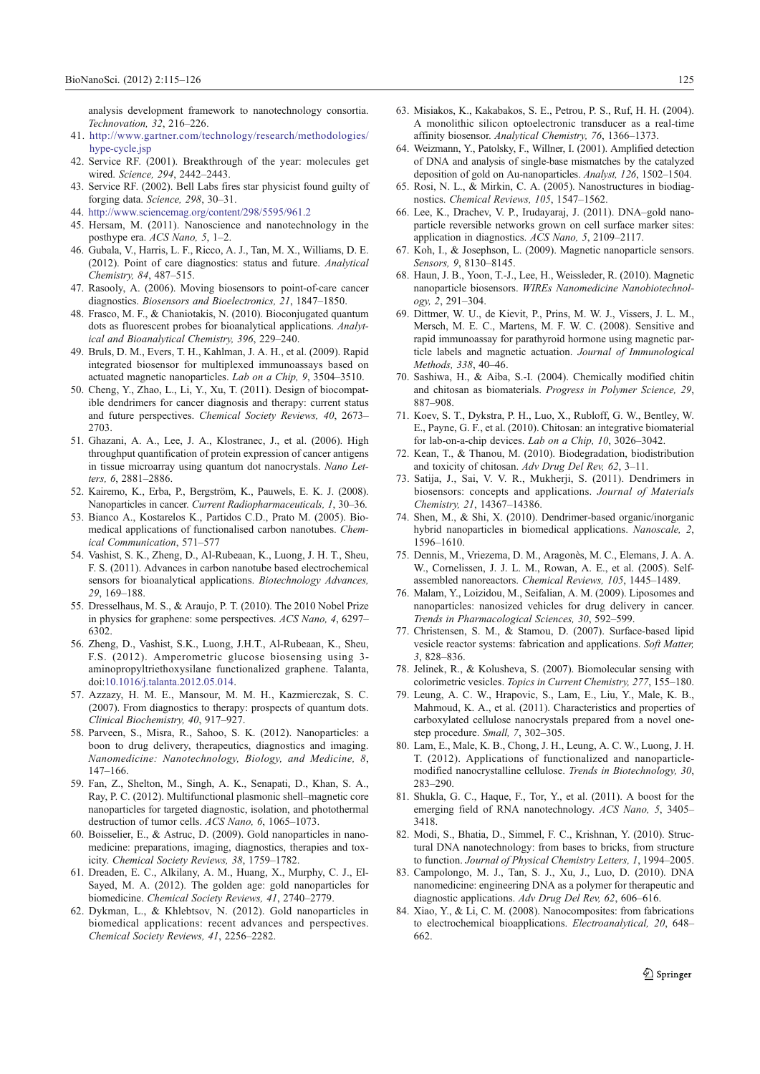analysis development framework to nanotechnology consortia. Technovation, 32, 216–226.

- 41. http://www.gartner.com/technology/research/methodologies/ hype-cycle.jsp
- 42. Service RF. (2001). Breakthrough of the year: molecules get wired. Science, 294, 2442–2443.
- 43. Service RF. (2002). Bell Labs fires star physicist found guilty of forging data. Science, 298, 30–31.
- 44. http://www.sciencemag.org/content/298/5595/961.2
- 45. Hersam, M. (2011). Nanoscience and nanotechnology in the posthype era. ACS Nano, 5, 1–2.
- 46. Gubala, V., Harris, L. F., Ricco, A. J., Tan, M. X., Williams, D. E. (2012). Point of care diagnostics: status and future. Analytical Chemistry, 84, 487–515.
- 47. Rasooly, A. (2006). Moving biosensors to point-of-care cancer diagnostics. Biosensors and Bioelectronics, 21, 1847–1850.
- 48. Frasco, M. F., & Chaniotakis, N. (2010). Bioconjugated quantum dots as fluorescent probes for bioanalytical applications. Analytical and Bioanalytical Chemistry, 396, 229–240.
- 49. Bruls, D. M., Evers, T. H., Kahlman, J. A. H., et al. (2009). Rapid integrated biosensor for multiplexed immunoassays based on actuated magnetic nanoparticles. Lab on a Chip, 9, 3504–3510.
- 50. Cheng, Y., Zhao, L., Li, Y., Xu, T. (2011). Design of biocompatible dendrimers for cancer diagnosis and therapy: current status and future perspectives. Chemical Society Reviews, 40, 2673– 2703.
- 51. Ghazani, A. A., Lee, J. A., Klostranec, J., et al. (2006). High throughput quantification of protein expression of cancer antigens in tissue microarray using quantum dot nanocrystals. Nano Letters, 6, 2881-2886.
- 52. Kairemo, K., Erba, P., Bergström, K., Pauwels, E. K. J. (2008). Nanoparticles in cancer. Current Radiopharmaceuticals, 1, 30–36.
- 53. Bianco A., Kostarelos K., Partidos C.D., Prato M. (2005). Biomedical applications of functionalised carbon nanotubes. Chemical Communication, 571–577
- 54. Vashist, S. K., Zheng, D., Al-Rubeaan, K., Luong, J. H. T., Sheu, F. S. (2011). Advances in carbon nanotube based electrochemical sensors for bioanalytical applications. Biotechnology Advances, 29, 169–188.
- 55. Dresselhaus, M. S., & Araujo, P. T. (2010). The 2010 Nobel Prize in physics for graphene: some perspectives. ACS Nano, 4, 6297– 6302.
- 56. Zheng, D., Vashist, S.K., Luong, J.H.T., Al-Rubeaan, K., Sheu, F.S. (2012). Amperometric glucose biosensing using 3 aminopropyltriethoxysilane functionalized graphene. Talanta, doi:10.1016/j.talanta.2012.05.014.
- 57. Azzazy, H. M. E., Mansour, M. M. H., Kazmierczak, S. C. (2007). From diagnostics to therapy: prospects of quantum dots. Clinical Biochemistry, 40, 917–927.
- 58. Parveen, S., Misra, R., Sahoo, S. K. (2012). Nanoparticles: a boon to drug delivery, therapeutics, diagnostics and imaging. Nanomedicine: Nanotechnology, Biology, and Medicine, 8, 147–166.
- 59. Fan, Z., Shelton, M., Singh, A. K., Senapati, D., Khan, S. A., Ray, P. C. (2012). Multifunctional plasmonic shell–magnetic core nanoparticles for targeted diagnostic, isolation, and photothermal destruction of tumor cells. ACS Nano, 6, 1065–1073.
- 60. Boisselier, E., & Astruc, D. (2009). Gold nanoparticles in nanomedicine: preparations, imaging, diagnostics, therapies and toxicity. Chemical Society Reviews, 38, 1759–1782.
- 61. Dreaden, E. C., Alkilany, A. M., Huang, X., Murphy, C. J., El-Sayed, M. A. (2012). The golden age: gold nanoparticles for biomedicine. Chemical Society Reviews, 41, 2740–2779.
- 62. Dykman, L., & Khlebtsov, N. (2012). Gold nanoparticles in biomedical applications: recent advances and perspectives. Chemical Society Reviews, 41, 2256–2282.
- 63. Misiakos, K., Kakabakos, S. E., Petrou, P. S., Ruf, H. H. (2004). A monolithic silicon optoelectronic transducer as a real-time affinity biosensor. Analytical Chemistry, 76, 1366–1373.
- 64. Weizmann, Y., Patolsky, F., Willner, I. (2001). Amplified detection of DNA and analysis of single-base mismatches by the catalyzed deposition of gold on Au-nanoparticles. Analyst, 126, 1502–1504.
- 65. Rosi, N. L., & Mirkin, C. A. (2005). Nanostructures in biodiagnostics. Chemical Reviews, 105, 1547–1562.
- 66. Lee, K., Drachev, V. P., Irudayaraj, J. (2011). DNA–gold nanoparticle reversible networks grown on cell surface marker sites: application in diagnostics. ACS Nano, 5, 2109–2117.
- 67. Koh, I., & Josephson, L. (2009). Magnetic nanoparticle sensors. Sensors, 9, 8130–8145.
- 68. Haun, J. B., Yoon, T.-J., Lee, H., Weissleder, R. (2010). Magnetic nanoparticle biosensors. WIREs Nanomedicine Nanobiotechnology, 2, 291–304.
- 69. Dittmer, W. U., de Kievit, P., Prins, M. W. J., Vissers, J. L. M., Mersch, M. E. C., Martens, M. F. W. C. (2008). Sensitive and rapid immunoassay for parathyroid hormone using magnetic particle labels and magnetic actuation. Journal of Immunological Methods, 338, 40–46.
- 70. Sashiwa, H., & Aiba, S.-I. (2004). Chemically modified chitin and chitosan as biomaterials. Progress in Polymer Science, 29, 887–908.
- 71. Koev, S. T., Dykstra, P. H., Luo, X., Rubloff, G. W., Bentley, W. E., Payne, G. F., et al. (2010). Chitosan: an integrative biomaterial for lab-on-a-chip devices. Lab on a Chip, 10, 3026–3042.
- 72. Kean, T., & Thanou, M. (2010). Biodegradation, biodistribution and toxicity of chitosan. Adv Drug Del Rev, 62, 3–11.
- 73. Satija, J., Sai, V. V. R., Mukherji, S. (2011). Dendrimers in biosensors: concepts and applications. Journal of Materials Chemistry, 21, 14367–14386.
- 74. Shen, M., & Shi, X. (2010). Dendrimer-based organic/inorganic hybrid nanoparticles in biomedical applications. Nanoscale, 2, 1596–1610.
- 75. Dennis, M., Vriezema, D. M., Aragonès, M. C., Elemans, J. A. A. W., Cornelissen, J. J. L. M., Rowan, A. E., et al. (2005). Selfassembled nanoreactors. Chemical Reviews, 105, 1445–1489.
- 76. Malam, Y., Loizidou, M., Seifalian, A. M. (2009). Liposomes and nanoparticles: nanosized vehicles for drug delivery in cancer. Trends in Pharmacological Sciences, 30, 592–599.
- 77. Christensen, S. M., & Stamou, D. (2007). Surface-based lipid vesicle reactor systems: fabrication and applications. Soft Matter, 3, 828–836.
- 78. Jelinek, R., & Kolusheva, S. (2007). Biomolecular sensing with colorimetric vesicles. Topics in Current Chemistry, 277, 155–180.
- 79. Leung, A. C. W., Hrapovic, S., Lam, E., Liu, Y., Male, K. B., Mahmoud, K. A., et al. (2011). Characteristics and properties of carboxylated cellulose nanocrystals prepared from a novel onestep procedure. Small, 7, 302–305.
- 80. Lam, E., Male, K. B., Chong, J. H., Leung, A. C. W., Luong, J. H. T. (2012). Applications of functionalized and nanoparticlemodified nanocrystalline cellulose. Trends in Biotechnology, 30, 283–290.
- 81. Shukla, G. C., Haque, F., Tor, Y., et al. (2011). A boost for the emerging field of RNA nanotechnology. ACS Nano, 5, 3405– 3418.
- 82. Modi, S., Bhatia, D., Simmel, F. C., Krishnan, Y. (2010). Structural DNA nanotechnology: from bases to bricks, from structure to function. Journal of Physical Chemistry Letters, 1, 1994–2005.
- 83. Campolongo, M. J., Tan, S. J., Xu, J., Luo, D. (2010). DNA nanomedicine: engineering DNA as a polymer for therapeutic and diagnostic applications. Adv Drug Del Rev, 62, 606–616.
- 84. Xiao, Y., & Li, C. M. (2008). Nanocomposites: from fabrications to electrochemical bioapplications. Electroanalytical, 20, 648– 662.